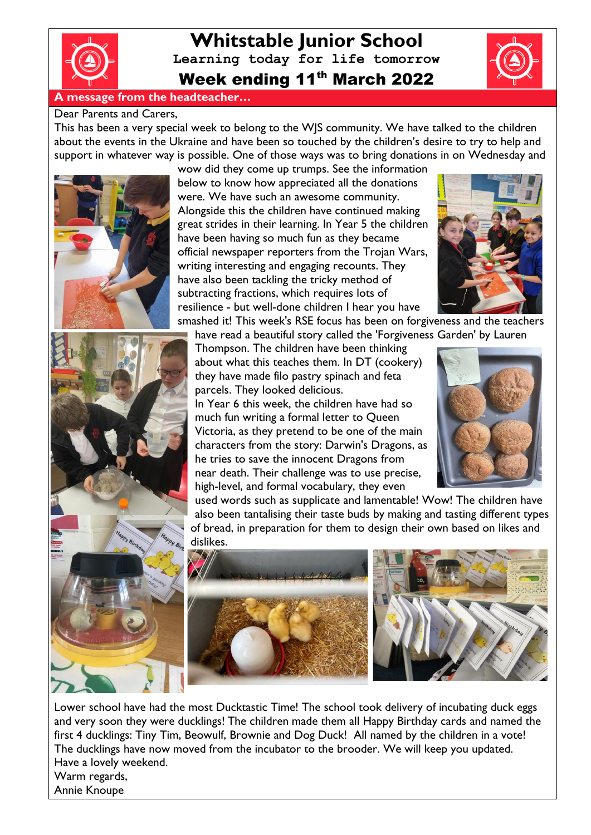

# **Whitstable Junior School Learning today for life tomorrow** Week ending 11<sup>th</sup> March 2022

#### **A message from the headteacher…**

#### Dear Parents and Carers,

This has been a very special week to belong to the WJS community. We have talked to the children about the events in the Ukraine and have been so touched by the children's desire to try to help and support in whatever way is possible. One of those ways was to bring donations in on Wednesday and





wow did they come up trumps. See the information below to know how appreciated all the donations were. We have such an awesome community. Alongside this the children have continued making great strides in their learning. In Year 5 the children have been having so much fun as they became official newspaper reporters from the Trojan Wars, writing interesting and engaging recounts. They have also been tackling the tricky method of subtracting fractions, which requires lots of resilience - but well-done children I hear you have



smashed it! This week's RSE focus has been on forgiveness and the teachers have read a beautiful story called the 'Forgiveness Garden' by Lauren

Thompson. The children have been thinking about what this teaches them. In DT (cookery) they have made filo pastry spinach and feta parcels. They looked delicious. In Year 6 this week, the children have had so much fun writing a formal letter to Queen Victoria, as they pretend to be one of the main characters from the story: Darwin's Dragons, as he tries to save the innocent Dragons from near death. Their challenge was to use precise, high-level, and formal vocabulary, they even



used words such as supplicate and lamentable! Wow! The children have also been tantalising their taste buds by making and tasting different types of bread, in preparation for them to design their own based on likes and dislikes.



Lower school have had the most Ducktastic Time! The school took delivery of incubating duck eggs and very soon they were ducklings! The children made them all Happy Birthday cards and named the first 4 ducklings: Tiny Tim, Beowulf, Brownie and Dog Duck! All named by the children in a vote! The ducklings have now moved from the incubator to the brooder. We will keep you updated. Have a lovely weekend. Warm regards,

Annie Knoupe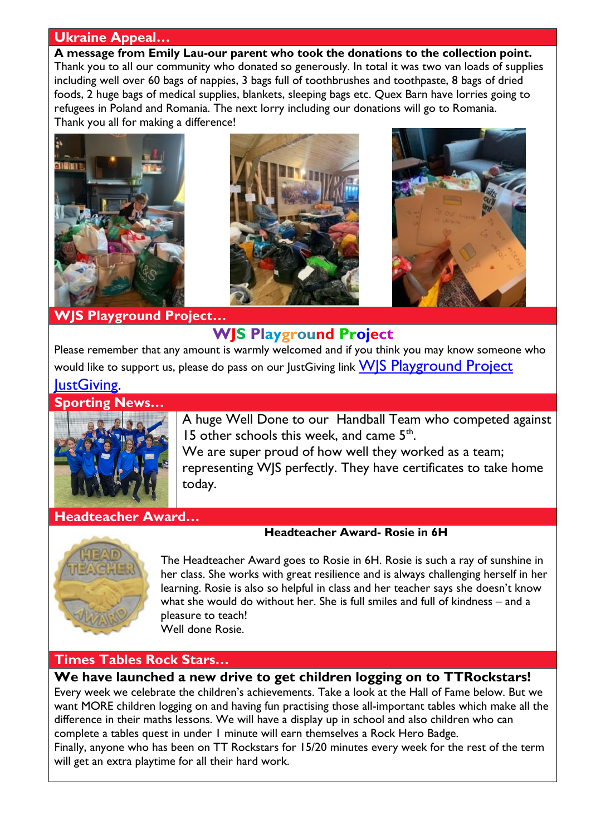### **Ukraine Appeal…**

**A message from Emily Lau-our parent who took the donations to the collection point.** Thank you to all our community who donated so generously. In total it was two van loads of supplies including well over 60 bags of nappies, 3 bags full of toothbrushes and toothpaste, 8 bags of dried foods, 2 huge bags of medical supplies, blankets, sleeping bags etc. Quex Barn have lorries going to refugees in Poland and Romania. The next lorry including our donations will go to Romania. Thank you all for making a difference!



**WJS Playground Project…**

# **WJS Playground Project**

Please remember that any amount is warmly welcomed and if you think you may know someone who would like to support us, please do pass on our lustGiving link WIS Playground Project

### lustGiving.

**Sporting News…**



A huge Well Done to our Handball Team who competed against 15 other schools this week, and came 5<sup>th</sup>.

We are super proud of how well they worked as a team; representing WJS perfectly. They have certificates to take home today.

#### **Headteacher Award…**



The Headteacher Award goes to Rosie in 6H. Rosie is such a ray of sunshine in her class. She works with great resilience and is always challenging herself in her learning. Rosie is also so helpful in class and her teacher says she doesn't know what she would do without her. She is full smiles and full of kindness – and a pleasure to teach! Well done Rosie.

**Headteacher Award- Rosie in 6H**

### **Times Tables Rock Stars…**

**We have launched a new drive to get children logging on to TTRockstars!**  Every week we celebrate the children's achievements. Take a look at the Hall of Fame below. But we want MORE children logging on and having fun practising those all-important tables which make all the difference in their maths lessons. We will have a display up in school and also children who can complete a tables quest in under 1 minute will earn themselves a Rock Hero Badge. Finally, anyone who has been on TT Rockstars for 15/20 minutes every week for the rest of the term will get an extra playtime for all their hard work.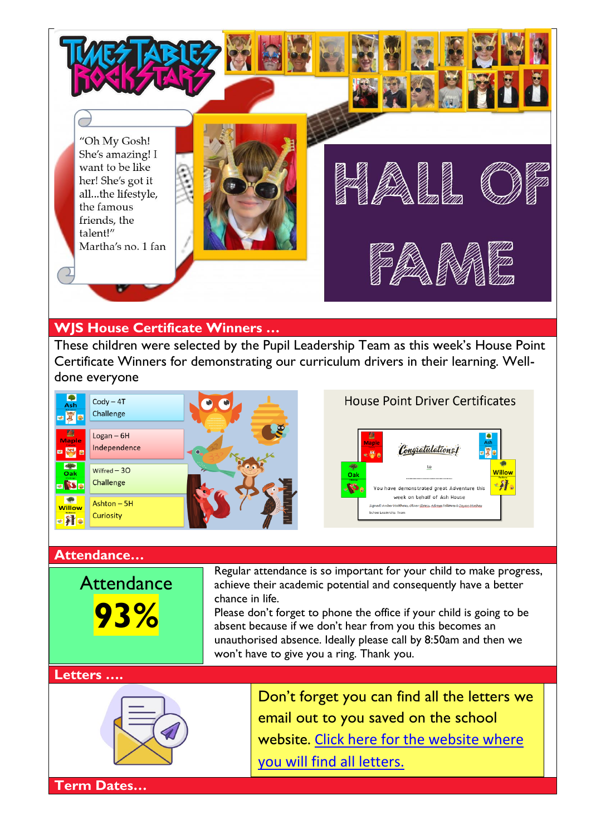

## **WJS House Certificate Winners …**

These children were selected by the Pupil Leadership Team as this week's House Point Certificate Winners for demonstrating our curriculum drivers in their learning. Welldone everyone



#### **Attendance…**

**Attendance 93%**

Regular attendance is so important for your child to make progress, achieve their academic potential and consequently have a better chance in life.

Please don't forget to phone the office if your child is going to be absent because if we don't hear from you this becomes an unauthorised absence. Ideally please call by 8:50am and then we won't have to give you a ring. Thank you.

#### **Letters ….**



Don't forget you can find all the letters we email out to you saved on the school website. [Click here for the website where](http://www.whitstable-junior.kent.sch.uk/)  [you will find all letters.](http://www.whitstable-junior.kent.sch.uk/)

**Term Dates…**